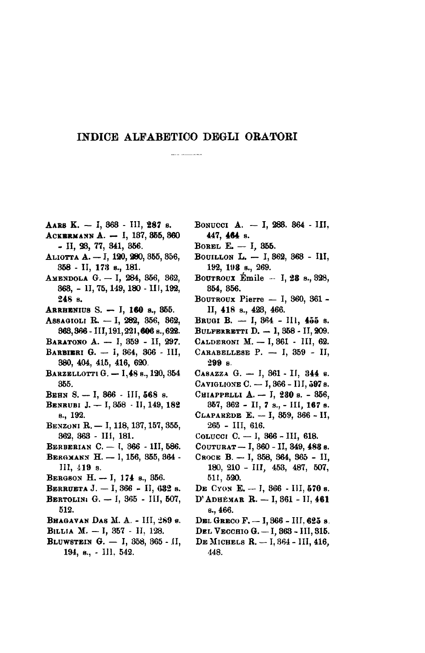## INDICE ALFABETICO DEGLI ORATORI

- AARS K. I, 363 III, 287 s.
- ACKBRMANN A. I, 187, 355, 360  $-$  II, 28, 77, 841, 856.
- ALIOTTA A. I, 120, 280, 355, 356, 358 - II, 173 s., 181.
- Аменропа G. I, 284, 356, 362, 368, - 1I, 75, 149, 180 - III, 192, 248 s.
- ARRHENIUS S. I, 160 s., 355.
- ASSAGIOLI R. I, 282, 356, 362, 363, 366 - III, 191, 221, 606 s., 622.
- Ваватомо А. I, 359 II, 297.
- BARBIERI G. 1, 364, 366 III, 380, 404, 415, 416, 620.
- BARZELLOTTI G. 1,48 s., 120, 354 355.
- Веня S. I, 366 III, 568 s.
- BENRUBI J. I, 358 II, 149, 182 s., 192.
- BENZONI R. I, 118, 137, 157, 355, 362, 363 - III, 181.
- BERBERIAN C. I, 366 1II, 586.
- BERGMANN H. 1, 156, 355, 364 -III, 419 s.
- BERGSON H. I, 174 s., 356.
- BERRUETA J. I, 366 II, 632 s.
- BERTOLINI G. I, 365 III, 507, 512.
- BHAGAVAN DAS M. A. III, 289 s.
- BILLIA M. I, 357 II, 128.
- BLUWSTEIN G. I, 358, 365 II, 194, s., - III, 542.
- BONUCCI A. I, 283. 364 III, 447, 464 s.
- BOREL E. I, 355.
- BOUILLON L. I, 362, 363 III, 192, 193 s., 269.
- BOUTROUX Emile  $-1$ , 28 s., 328, 854, 856.
- BOUTROUX Pierre I, 860, 361 -II, 418 s., 428, 466.
- BRUGI B. I,  $364$  III,  $455$  s.
- BULFERRETTI D.  $-1, 358 11, 209$ .
- CALDERONI M. I, 861 III, 62.
- CARABELLESE P.  $-$  I, 359 II, 299 s.
- CASAZZA G. I, 361 II, 344 s.
- CAVIGLIONE C. 1, 366 III, 597 s.
- Сніаррецы А. I, 230 s. 356, 357, 362 - II, 7 s., - III, 167 s. СLAPAREDE Е. - I, 359, 366 - II,
- 265 III, 616. COLUCCI C.  $-$  I, 366 - III, 618.
- COUTURAT I, 360 II, 349, 488 s.
- Свосе В. I, 358, 364, 365 II, 180, 210 - III, 453, 487, 507, 511, 520.
- DE CYON E. I,  $366$  III, 570 s.
- D'АDHЕМАR R. I, 361 II, 461 s., 466.
- DEL GRECO F. I, 366 III, 625 s.
- DEL VECCHIO G. I, 363 III, 315.
- DE MICHELS R. I, 364 III, 416, 448.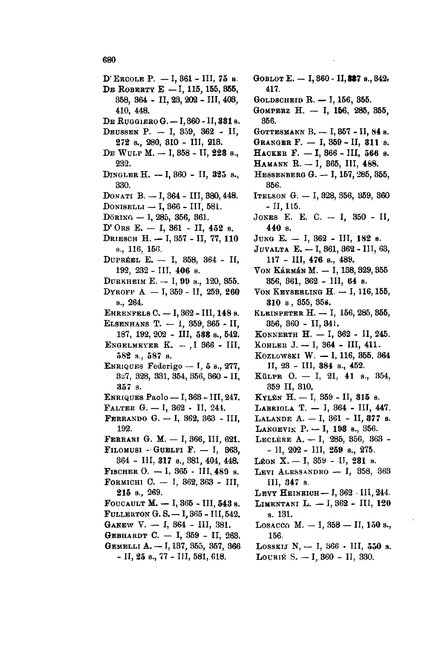- D'ERCOLE P. I, 361 III, 75 s. DE ROBERTY E - I, 115, 155, 355, 358, 364 - II, 23, 202 - III, 403, 410, 448. DE RUGGIERO G. - I, 360 - II, 331 s. DEUSSEN P. - I, 359, 362 - II, 272 s., 280, 310 - III, 213. DE WULF M. - I, 358 - II, 228 s., 232. DINGLER H. - I, 360 - II, 325 s., 330. DONATI B. - I, 364 - III, 380, 448. DONISELLI - I, 366 - III, 581. DöRING - I, 285, 356, 361. D'ORS E.  $-$  I, 361 - II, 452 s. DRIESCH H. - I, 357 - II, 77, 110 s., 116, 156. DUPREEL E. - I, 358, 364 - II, 192, 232 - III, 406 s. DURKHEIM E. - I, 99 s., 120, 355. DYROFF A. - I, 359 - II, 259, 260 s., 264. EHRENFELS C. - I, 362 - III, 148 s. ELSENHANS T. - 1, 359, 365 - II, 187, 192, 202 - III, 588 s., 542. ENGELMEYER  $K. - 1.366 - III$  $582$  s.,  $587$  s. ENRIQUES Federigo - I, 5 s., 277,  $327, 328, 331, 354, 356, 360 - H,$ 357 s. ENRIQUES Paolo - I, 363 - III, 247. FALTER G. - I, 362 - II, 244. FERRANDO G. - I, 362, 363 - III, 192. FERRARI G. M. - I, 366, III, 621. FILOMUSI - GUELFI F.  $-$  I, 363,
- 364 III, 317 s., 381, 404, 448. FISCHER O.  $-1$ , 365 - III, 489 s. **FORMICHI C.** - I, 362, 363 - III,  $215$  s., 269.
- FOUCAULT M.  $-$  I, 365 III, 543 s. FULLERTON G.S. - I, 365 - III, 542.
- GANEW V.  $-$  I, 364 III, 381.
- GEBHARDT C. I, 359 II, 263. GEMELLI A. - I, 137, 355, 357, 366
	- II, 25 s., 77 III, 581, 618.
- СОВLОТ Е. I, 360 II, 337 s., 342, 417. GOLDSCHEID R. - I, 156, 355. GOMPERZ H. - I, 156, 285, 355, 356. GOTTESMANN B. - I, 857 - II, 84 s. GRANGER F. - I, 359 - II, 311 s. НАСКЕВ Г. - I, 366 - III, 566 s. HAMANN R. - I, 365, III, 488. HESSENBERG G. - I, 157, 285, 355, 356. ITELSON G. - I, 328, 356, 359, 360 - II, 115. JONES E. E. C. - I, 350 - II, 440 в. JUNG E. - I, 362 - III, 182 s. JUVALTA E. - I, 861, 862 - III, 63, 117 - III, 476 s., 489. VON Kármán M. - I, 138, 329, 355 356, 361, 362 - III, 64 s. VON KEYSERLING  $H. - I$ , 116, 155, 310 s, 355, 356. КLEINPETER Н. - I, 156, 285, 355, 356, 360 - II, 341. КОNNERTH Н. - I, 362 - II, 245. KOHLER J.  $-$  I, 364 - III, 411. KOZLOWSKI W. - I, 116, 355, 364 II, 23 - III, 384 s., 452. KüLPE O. - I, 21, 41 s., 354, 359 II, 310. KYLEN H. - I,  $359 - II$ ,  $315$  s. LABRIOLA T. - I, 364 - III, 447. LALANDE A. - I, 361 - II, 377 s. LANGEVIK P. - I, 198 s., 356. LECLERE A. - I, 285, 356, 363 - $-$  11, 202 - 111, 259 s., 275. LEON X. - I, 359 - IJ, 281 s. LEVI ALESSANDRO - I, 358, 363 III, 347 s. LEVY HEINRICH-I, 362 - III, 244. LIMENTANI L. - I, 362 - III, 120 s. 131.
- Losacco M. I,  $358 -$  II,  $150 s$ . 156.
- LOSSKIJ N, I, 366 III, 550 s. LOURIE S. - I, 360 - II, 330.

680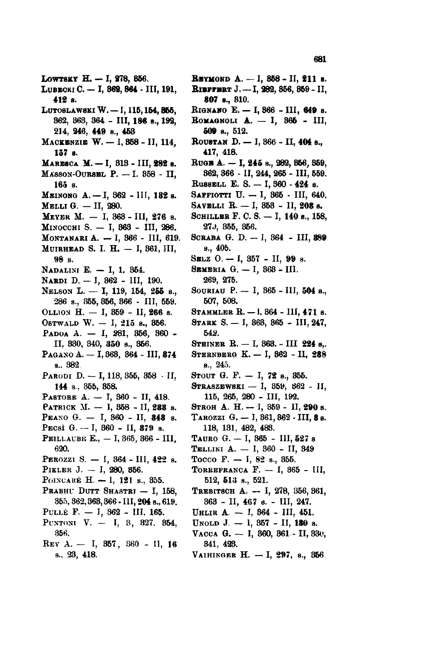- LOWTSKY H. I, 278, 856.
- LUBECKI C. I, 362, 364 III, 191, 412 s.
- LUTOSLAWSKI W. I, 115, 154, 855, 362, 363, 364 - III, 186 s., 192, 214, 246, 449 s., 453
- MACKENZIE W. I, 858 II, 114, 157 в.
- MARESCA M. I, 313 III, 282 s.
- MASSON-OURSEL P. I. 358 II,  $165$  s.
- Миномс А. I, 362 III, 182 з.
- MELLI G. II, 280.
- MEYER M. I, 363 III, 276 s.
- Мимоссии S. I, 363 III, 286.
- MONTANARI A. I, 366 III, 619. MUIRHEAD S. I. H. - I, 361, III,
- 98 s.
- NADALINI E. I, 1, 354.
- NARDI D. I, 362 III, 190.
- NELSON L. I, 119, 154, 255 s.,  $286$  s.,  $355, 356, 366$  · III,  $559$ .
- OLLION H.  $-$  I, 359 II, 266 s.
- OSTWALD W. I, 215 s., 356.
- PADOA A. I, 281, 356, 360 -II, 330, 340, 350 s., 356.
- PAGANO A. I, 363, 364 III, 874 s., 382
- Равові В. I, 118, 355, 358 · II, 144 s., 355, 358.
- PASTORE A. I, 360 II, 418.
- PATRICK M. I, 358 II, 288 s.
- PEANO G. I, 360 II, 348 s.
- PECSI G. -- I,  $360$  II,  $379$  s.
- PEILLAUBE E., I, 365, 366 III, 620.
- PEROZZI S. I, 364 III, 422 s.
- PIKLER J.  $-$  I, 280, 356.
- POINCARÉ H. I, 121 s., 355.
- PRABHU DUTT SHASTRI I, 158, 355, 362, 368, 366 - III, 204 s., 619.
- PULLE F. I, 362 III, 165.
- PUNTONI V. I, 3, 327, 354, 356.
- REY A. I, 357, 360 11, 16 s., 23, 418.
- **Евтмоно А. I, 858 II, 211 s. Вівггинт J.** -- I, 282, 356, 359 - II, 807 s., 810.
- RIGNANO Е. I, 366 III, 649 s.
- ROMAGNOLI  $A. I$ , 865 III,  $509$  s.,  $512$ .
- ROUSTAN D. I, 366 II, 404 s., 417, 418.
- RUGB А. I, 245 s., 282, 856, 359, 362, 366 - II, 244, 265 - III, 559.
- RussELL E. S. I, 360 424 s.
- SAFFIOTTI U. I, 365 III, 640.
- SAVELLI R. I, 353 II, 208 s.
- SCHILLER F. C. S. I, 140 s., 158, 27J, 355, 356.
- SCRABA G. D. I, 364 III, 389 s., 405.
- SELZ  $0. I$ , 357 II, 99 s.
- SEMERIA  $G. I. 363 III.$ 269, 275.
- SOURIAU P. I, 365 III, 504 s., 507, 508.
- STAMMLER R. 1, 364 III, 471 s.
- STARK S. I, 363, 365 III, 247, 542.
- STEINER R. I, 363. III 224 s.
- STERNBERG K. I, 862 II, 288 s., 245.
- STOUT G. F.  $-$  I, 72 s., 355.
- STRASZEWSKI I, 359, 362 II, 115, 265, 280 - III, 192.
- STROH A. H. I, 359 II, 290 s.
- TAROZZI G. I, 361, 362 III, 8 s. 118, 131, 482, 483.
- TAURO G. I, 365 III, 527 s
- TELLINI A. I, 360 II, 349
- Tocco F.  $-$  I, 82 s., 355.
- TORREFRANCA F.  $-$  I, 365 III, 512, 513 s., 521.
- Твевитесн А. I, 278, 356, 361,  $363$  - II, 467 s. - III, 247.
- UHLIR A. I, 364 III, 451.
- UNOLD J. I, 357 II, 180 s.
- VACCA G. I, 360, 361 II, 330, 341, 423.
- VAIHINGER H. I, 297, s., 356